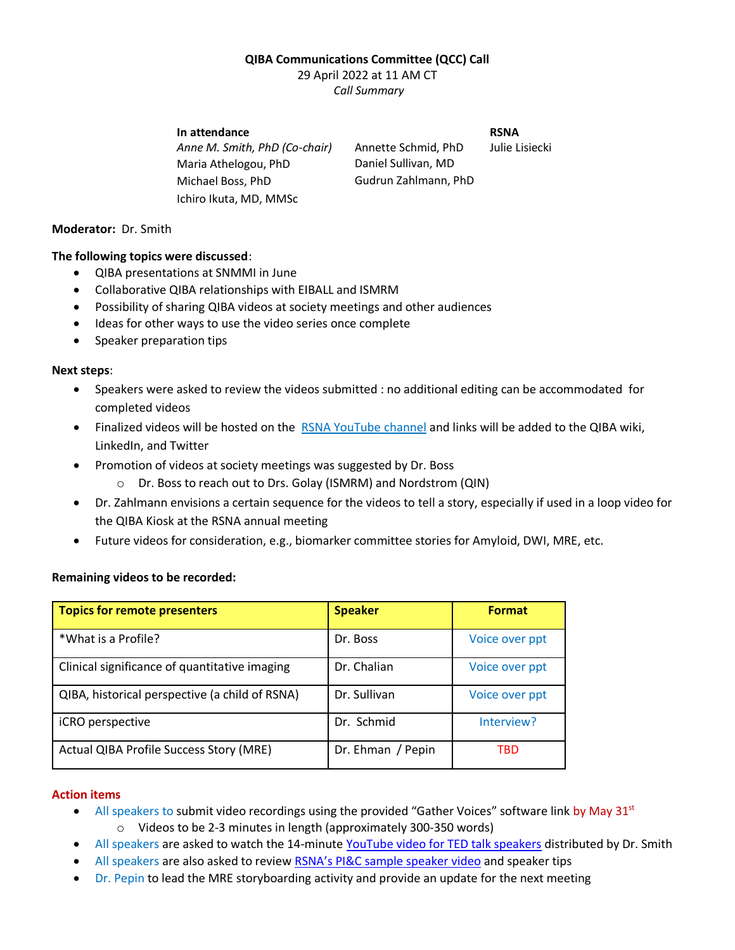### **QIBA Communications Committee (QCC) Call**

29 April 2022 at 11 AM CT *Call Summary*

# **In attendance** RSNA

*Anne M. Smith, PhD (Co-chair)* Annette Schmid, PhD Julie Lisiecki Maria Athelogou, PhD Daniel Sullivan, MD Michael Boss, PhD Gudrun Zahlmann, PhD Ichiro Ikuta, MD, MMSc

# **Moderator:** Dr. Smith

### **The following topics were discussed**:

- QIBA presentations at SNMMI in June
- Collaborative QIBA relationships with EIBALL and ISMRM
- Possibility of sharing QIBA videos at society meetings and other audiences
- Ideas for other ways to use the video series once complete
- Speaker preparation tips

### **Next steps**:

- Speakers were asked to review the videos submitted : no additional editing can be accommodated for completed videos
- Finalized videos will be hosted on the [RSNA YouTube channel](https://www.youtube.com/user/RSNAtube) and links will be added to the QIBA wiki, LinkedIn, and Twitter
- Promotion of videos at society meetings was suggested by Dr. Boss
	- o Dr. Boss to reach out to Drs. Golay (ISMRM) and Nordstrom (QIN)
- Dr. Zahlmann envisions a certain sequence for the videos to tell a story, especially if used in a loop video for the QIBA Kiosk at the RSNA annual meeting
- Future videos for consideration, e.g., biomarker committee stories for Amyloid, DWI, MRE, etc.

### **Remaining videos to be recorded:**

| <b>Topics for remote presenters</b>            | <b>Speaker</b>    | <b>Format</b>  |
|------------------------------------------------|-------------------|----------------|
| *What is a Profile?                            | Dr. Boss          | Voice over ppt |
| Clinical significance of quantitative imaging  | Dr. Chalian       | Voice over ppt |
| QIBA, historical perspective (a child of RSNA) | Dr. Sullivan      | Voice over ppt |
| iCRO perspective                               | Dr. Schmid        | Interview?     |
| Actual QIBA Profile Success Story (MRE)        | Dr. Ehman / Pepin | TBD            |

### **Action items**

- All speakers to submit video recordings using the provided "Gather Voices" software link by May 31st o Videos to be 2-3 minutes in length (approximately 300-350 words)
- All speakers are asked to watch the 14-minute [YouTube video for TED talk speakers](https://www.youtube.com/watch?v=yoD8RMq2OkU) distributed by Dr. Smith
- All speakers are also asked to review [RSNA's PI&C sample speaker video](https://www.youtube.com/watch?v=yd4PXB5jTsQ&t=66s) and speaker tips
- Dr. Pepin to lead the MRE storyboarding activity and provide an update for the next meeting